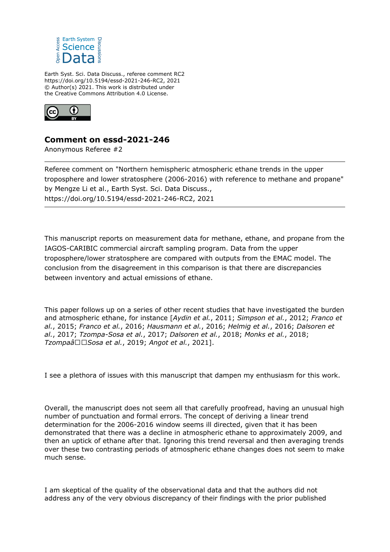

Earth Syst. Sci. Data Discuss., referee comment RC2 https://doi.org/10.5194/essd-2021-246-RC2, 2021 © Author(s) 2021. This work is distributed under the Creative Commons Attribution 4.0 License.



## **Comment on essd-2021-246**

Anonymous Referee #2

Referee comment on "Northern hemispheric atmospheric ethane trends in the upper troposphere and lower stratosphere (2006-2016) with reference to methane and propane" by Mengze Li et al., Earth Syst. Sci. Data Discuss., https://doi.org/10.5194/essd-2021-246-RC2, 2021

This manuscript reports on measurement data for methane, ethane, and propane from the IAGOS-CARIBIC commercial aircraft sampling program. Data from the upper troposphere/lower stratosphere are compared with outputs from the EMAC model. The conclusion from the disagreement in this comparison is that there are discrepancies between inventory and actual emissions of ethane.

This paper follows up on a series of other recent studies that have investigated the burden and atmospheric ethane, for instance [*Aydin et al.*, 2011; *Simpson et al.*, 2012; *Franco et al.*, 2015; *Franco et al.*, 2016; *Hausmann et al.*, 2016; *Helmig et al.*, 2016; *Dalsoren et al.*, 2017; *Tzompa-Sosa et al.*, 2017; *Dalsoren et al.*, 2018; *Monks et al.*, 2018; *TzompaâSosa et al.*, 2019; *Angot et al.*, 2021].

I see a plethora of issues with this manuscript that dampen my enthusiasm for this work.

Overall, the manuscript does not seem all that carefully proofread, having an unusual high number of punctuation and formal errors. The concept of deriving a linear trend determination for the 2006-2016 window seems ill directed, given that it has been demonstrated that there was a decline in atmospheric ethane to approximately 2009, and then an uptick of ethane after that. Ignoring this trend reversal and then averaging trends over these two contrasting periods of atmospheric ethane changes does not seem to make much sense.

I am skeptical of the quality of the observational data and that the authors did not address any of the very obvious discrepancy of their findings with the prior published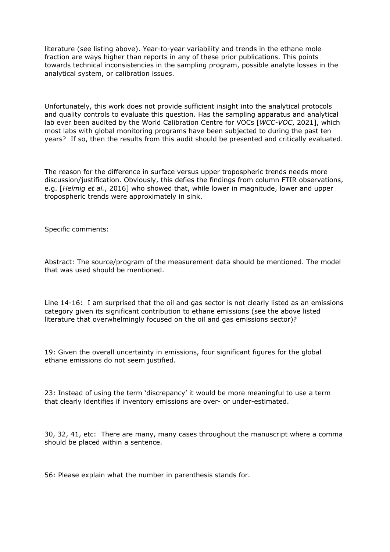literature (see listing above). Year-to-year variability and trends in the ethane mole fraction are ways higher than reports in any of these prior publications. This points towards technical inconsistencies in the sampling program, possible analyte losses in the analytical system, or calibration issues.

Unfortunately, this work does not provide sufficient insight into the analytical protocols and quality controls to evaluate this question. Has the sampling apparatus and analytical lab ever been audited by the World Calibration Centre for VOCs [*WCC-VOC*, 2021], which most labs with global monitoring programs have been subjected to during the past ten years? If so, then the results from this audit should be presented and critically evaluated.

The reason for the difference in surface versus upper tropospheric trends needs more discussion/justification. Obviously, this defies the findings from column FTIR observations, e.g. [*Helmig et al.*, 2016] who showed that, while lower in magnitude, lower and upper tropospheric trends were approximately in sink.

Specific comments:

Abstract: The source/program of the measurement data should be mentioned. The model that was used should be mentioned.

Line 14-16: I am surprised that the oil and gas sector is not clearly listed as an emissions category given its significant contribution to ethane emissions (see the above listed literature that overwhelmingly focused on the oil and gas emissions sector)?

19: Given the overall uncertainty in emissions, four significant figures for the global ethane emissions do not seem justified.

23: Instead of using the term 'discrepancy' it would be more meaningful to use a term that clearly identifies if inventory emissions are over- or under-estimated.

30, 32, 41, etc: There are many, many cases throughout the manuscript where a comma should be placed within a sentence.

56: Please explain what the number in parenthesis stands for.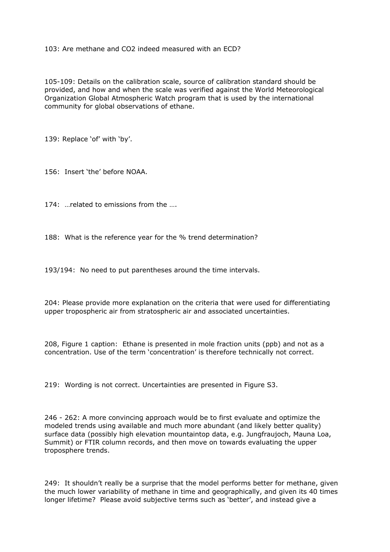103: Are methane and CO2 indeed measured with an ECD?

105-109: Details on the calibration scale, source of calibration standard should be provided, and how and when the scale was verified against the World Meteorological Organization Global Atmospheric Watch program that is used by the international community for global observations of ethane.

139: Replace 'of' with 'by'.

156: Insert 'the' before NOAA.

174: …related to emissions from the ….

188: What is the reference year for the % trend determination?

193/194: No need to put parentheses around the time intervals.

204: Please provide more explanation on the criteria that were used for differentiating upper tropospheric air from stratospheric air and associated uncertainties.

208, Figure 1 caption: Ethane is presented in mole fraction units (ppb) and not as a concentration. Use of the term 'concentration' is therefore technically not correct.

219: Wording is not correct. Uncertainties are presented in Figure S3.

246 - 262: A more convincing approach would be to first evaluate and optimize the modeled trends using available and much more abundant (and likely better quality) surface data (possibly high elevation mountaintop data, e.g. Jungfraujoch, Mauna Loa, Summit) or FTIR column records, and then move on towards evaluating the upper troposphere trends.

249: It shouldn't really be a surprise that the model performs better for methane, given the much lower variability of methane in time and geographically, and given its 40 times longer lifetime? Please avoid subjective terms such as 'better', and instead give a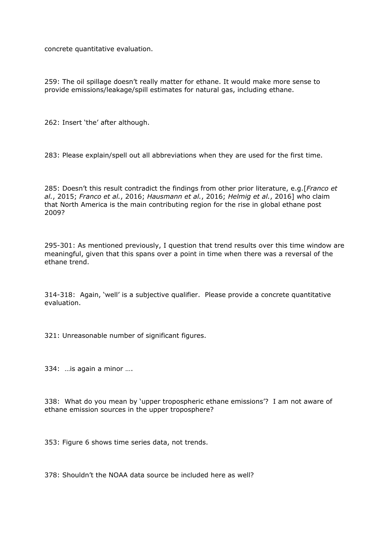concrete quantitative evaluation.

259: The oil spillage doesn't really matter for ethane. It would make more sense to provide emissions/leakage/spill estimates for natural gas, including ethane.

262: Insert 'the' after although.

283: Please explain/spell out all abbreviations when they are used for the first time.

285: Doesn't this result contradict the findings from other prior literature, e.g.[*Franco et al.*, 2015; *Franco et al.*, 2016; *Hausmann et al.*, 2016; *Helmig et al.*, 2016] who claim that North America is the main contributing region for the rise in global ethane post 2009?

295-301: As mentioned previously, I question that trend results over this time window are meaningful, given that this spans over a point in time when there was a reversal of the ethane trend.

314-318: Again, 'well' is a subjective qualifier. Please provide a concrete quantitative evaluation.

321: Unreasonable number of significant figures.

334: …is again a minor ….

338: What do you mean by 'upper tropospheric ethane emissions'? I am not aware of ethane emission sources in the upper troposphere?

353: Figure 6 shows time series data, not trends.

378: Shouldn't the NOAA data source be included here as well?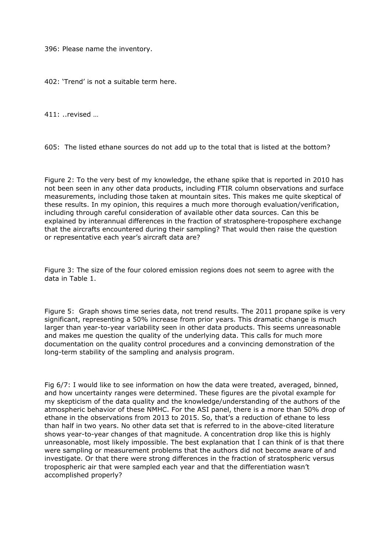396: Please name the inventory.

402: 'Trend' is not a suitable term here.

411: ..revised …

605: The listed ethane sources do not add up to the total that is listed at the bottom?

Figure 2: To the very best of my knowledge, the ethane spike that is reported in 2010 has not been seen in any other data products, including FTIR column observations and surface measurements, including those taken at mountain sites. This makes me quite skeptical of these results. In my opinion, this requires a much more thorough evaluation/verification, including through careful consideration of available other data sources. Can this be explained by interannual differences in the fraction of stratosphere-troposphere exchange that the aircrafts encountered during their sampling? That would then raise the question or representative each year's aircraft data are?

Figure 3: The size of the four colored emission regions does not seem to agree with the data in Table 1.

Figure 5: Graph shows time series data, not trend results. The 2011 propane spike is very significant, representing a 50% increase from prior years. This dramatic change is much larger than year-to-year variability seen in other data products. This seems unreasonable and makes me question the quality of the underlying data. This calls for much more documentation on the quality control procedures and a convincing demonstration of the long-term stability of the sampling and analysis program.

Fig 6/7: I would like to see information on how the data were treated, averaged, binned, and how uncertainty ranges were determined. These figures are the pivotal example for my skepticism of the data quality and the knowledge/understanding of the authors of the atmospheric behavior of these NMHC. For the ASI panel, there is a more than 50% drop of ethane in the observations from 2013 to 2015. So, that's a reduction of ethane to less than half in two years. No other data set that is referred to in the above-cited literature shows year-to-year changes of that magnitude. A concentration drop like this is highly unreasonable, most likely impossible. The best explanation that I can think of is that there were sampling or measurement problems that the authors did not become aware of and investigate. Or that there were strong differences in the fraction of stratospheric versus tropospheric air that were sampled each year and that the differentiation wasn't accomplished properly?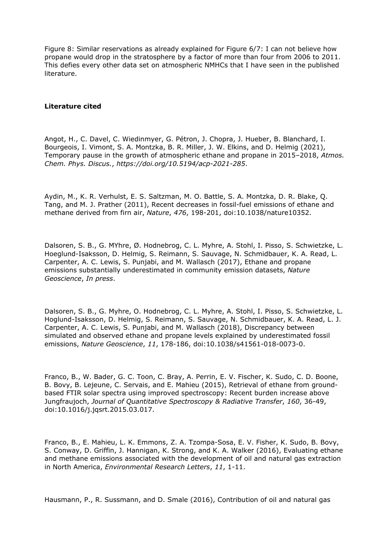Figure 8: Similar reservations as already explained for Figure 6/7: I can not believe how propane would drop in the stratosphere by a factor of more than four from 2006 to 2011. This defies every other data set on atmospheric NMHCs that I have seen in the published literature.

## **Literature cited**

Angot, H., C. Davel, C. Wiedinmyer, G. Pétron, J. Chopra, J. Hueber, B. Blanchard, I. Bourgeois, I. Vimont, S. A. Montzka, B. R. Miller, J. W. Elkins, and D. Helmig (2021), Temporary pause in the growth of atmospheric ethane and propane in 2015–2018, *Atmos. Chem. Phys. Discus.*, *https://doi.org/10.5194/acp-2021-285*.

Aydin, M., K. R. Verhulst, E. S. Saltzman, M. O. Battle, S. A. Montzka, D. R. Blake, Q. Tang, and M. J. Prather (2011), Recent decreases in fossil-fuel emissions of ethane and methane derived from firn air, *Nature*, *476*, 198-201, doi:10.1038/nature10352.

Dalsoren, S. B., G. MYhre, Ø. Hodnebrog, C. L. Myhre, A. Stohl, I. Pisso, S. Schwietzke, L. Hoeglund-Isaksson, D. Helmig, S. Reimann, S. Sauvage, N. Schmidbauer, K. A. Read, L. Carpenter, A. C. Lewis, S. Punjabi, and M. Wallasch (2017), Ethane and propane emissions substantially underestimated in community emission datasets, *Nature Geoscience*, *In press*.

Dalsoren, S. B., G. Myhre, O. Hodnebrog, C. L. Myhre, A. Stohl, I. Pisso, S. Schwietzke, L. Hoglund-Isaksson, D. Helmig, S. Reimann, S. Sauvage, N. Schmidbauer, K. A. Read, L. J. Carpenter, A. C. Lewis, S. Punjabi, and M. Wallasch (2018), Discrepancy between simulated and observed ethane and propane levels explained by underestimated fossil emissions, *Nature Geoscience*, *11*, 178-186, doi:10.1038/s41561-018-0073-0.

Franco, B., W. Bader, G. C. Toon, C. Bray, A. Perrin, E. V. Fischer, K. Sudo, C. D. Boone, B. Bovy, B. Lejeune, C. Servais, and E. Mahieu (2015), Retrieval of ethane from groundbased FTIR solar spectra using improved spectroscopy: Recent burden increase above Jungfraujoch, *Journal of Quantitative Spectroscopy & Radiative Transfer*, *160*, 36-49, doi:10.1016/j.jqsrt.2015.03.017.

Franco, B., E. Mahieu, L. K. Emmons, Z. A. Tzompa-Sosa, E. V. Fisher, K. Sudo, B. Bovy, S. Conway, D. Griffin, J. Hannigan, K. Strong, and K. A. Walker (2016), Evaluating ethane and methane emissions associated with the development of oil and natural gas extraction in North America, *Environmental Research Letters*, *11*, 1-11.

Hausmann, P., R. Sussmann, and D. Smale (2016), Contribution of oil and natural gas